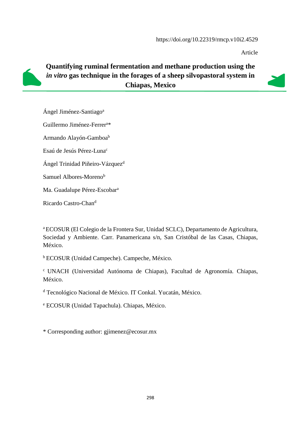Article



# **Quantifying ruminal fermentation and methane production using the**  *in vitro* **gas technique in the forages of a sheep silvopastoral system in Chiapas, Mexico**



Ángel Jiménez-Santiago<sup>a</sup>

Guillermo Jiménez-Ferrer<sup>a</sup>\*

Armando Alayón-Gamboa<sup>b</sup>

Esaú de Jesús Pérez-Luna<sup>c</sup>

Ángel Trinidad Piñeiro-Vázquez<sup>d</sup>

Samuel Albores-Moreno<sup>b</sup>

Ma. Guadalupe Pérez-Escobar<sup>a</sup>

Ricardo Castro-Chan<sup>d</sup>

<sup>a</sup>ECOSUR (El Colegio de la Frontera Sur, Unidad SCLC), Departamento de Agricultura, Sociedad y Ambiente. Carr. Panamericana s/n, San Cristóbal de las Casas, Chiapas, México.

<sup>b</sup>ECOSUR (Unidad Campeche). Campeche, México.

<sup>c</sup>UNACH (Universidad Autónoma de Chiapas), Facultad de Agronomía. Chiapas, México.

<sup>d</sup> Tecnológico Nacional de México. IT Conkal. Yucatán, México.

<sup>e</sup> ECOSUR (Unidad Tapachula). Chiapas, México.

\* Corresponding author: gjimenez@ecosur.mx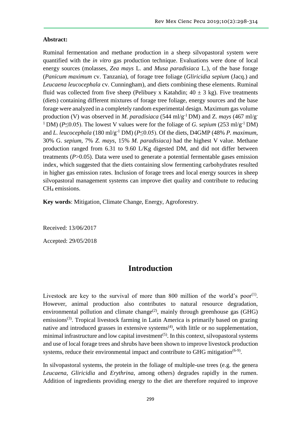## **Abstract:**

Ruminal fermentation and methane production in a sheep silvopastoral system were quantified with the *in vitro* gas production technique. Evaluations were done of local energy sources (molasses, *Zea mays* L. and *Musa paradisiaca* L.), of the base forage (*Panicum maximum* cv. Tanzania), of forage tree foliage (*Gliricidia sepium* (Jacq.) and *Leucaena leucocephala* cv. Cunningham), and diets combining these elements. Ruminal fluid was collected from five sheep (Pelibuey x Katahdin;  $40 \pm 3$  kg). Five treatments (diets) containing different mixtures of forage tree foliage, energy sources and the base forage were analyzed in a completely random experimental design. Maximum gas volume production (V) was observed in *M. paradisiaca* (544 ml/g-1 DM) and Z. *mays* (467 ml/g-<sup>1</sup>DM) ( $P \le 0.05$ ). The lowest V values were for the foliage of *G. sepium* (253 ml/g<sup>-1</sup>DM) and *L. leucocephala* (180 ml/g-1 DM) (*P*≤0.05). Of the diets, D4GMP (48% *P. maximum*, 30% G. *sepium*, 7% *Z. mays*, 15% *M. paradisiaca)* had the highest V value. Methane production ranged from 6.31 to 9.60 L/Kg digested DM, and did not differ between treatments (*P*>0.05). Data were used to generate a potential fermentable gases emission index, which suggested that the diets containing slow fermenting carbohydrates resulted in higher gas emission rates. Inclusion of forage trees and local energy sources in sheep silvopastoral management systems can improve diet quality and contribute to reducing CH<sub>4</sub> emissions.

**Key words**: Mitigation, Climate Change, Energy, Agroforestry.

Received: 13/06/2017

Accepted: 29/05/2018

# **Introduction**

Livestock are key to the survival of more than 800 million of the world's poor<sup>(1)</sup>. However, animal production also contributes to natural resource degradation, environmental pollution and climate change<sup>(2)</sup>, mainly through greenhouse gas (GHG) emissions<sup>(3)</sup>. Tropical livestock farming in Latin America is primarily based on grazing native and introduced grasses in extensive systems<sup> $(4)$ </sup>, with little or no supplementation, minimal infrastructure and low capital investment<sup> $(5)$ </sup>. In this context, silvopastoral systems and use of local forage trees and shrubs have been shown to improve livestock production systems, reduce their environmental impact and contribute to GHG mitigation<sup>(6-9)</sup>.

In silvopastoral systems, the protein in the foliage of multiple-use trees (e.g. the genera *Leucaena*, *Gliricidia* and *Erythrina*, among others) degrades rapidly in the rumen. Addition of ingredients providing energy to the diet are therefore required to improve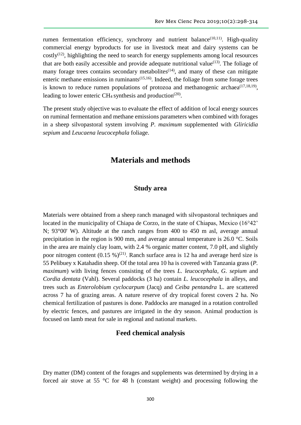rumen fermentation efficiency, synchrony and nutrient balance<sup>(10,11)</sup>. High-quality commercial energy byproducts for use in livestock meat and dairy systems can be  $costly<sup>(12)</sup>$ , highlighting the need to search for energy supplements among local resources that are both easily accessible and provide adequate nutritional value<sup> $(13)$ </sup>. The foliage of many forage trees contains secondary metabolites<sup> $(14)$ </sup>, and many of these can mitigate enteric methane emissions in ruminants $(15,16)$ . Indeed, the foliage from some forage trees is known to reduce rumen populations of protozoa and methanogenic archaea<sup>(17,18,19)</sup>, leading to lower enteric CH<sub>4</sub> synthesis and production<sup>(20)</sup>.

The present study objective was to evaluate the effect of addition of local energy sources on ruminal fermentation and methane emissions parameters when combined with forages in a sheep silvopastoral system involving *P. maximum* supplemented with *Gliricidia sepium* and *Leucaena leucocephala* foliage.

# **Materials and methods**

## **Study area**

Materials were obtained from a sheep ranch managed with silvopastoral techniques and located in the municipality of Chiapa de Corzo, in the state of Chiapas, Mexico (16°42' N; 93°00' W). Altitude at the ranch ranges from 400 to 450 m asl, average annual precipitation in the region is 900 mm, and average annual temperature is 26.0 °C. Soils in the area are mainly clay loam, with 2.4 % organic matter content, 7.0 pH, and slightly poor nitrogen content  $(0.15 \%)^{(21)}$ . Ranch surface area is 12 ha and average herd size is 55 Pelibuey x Katahadin sheep. Of the total area 10 ha is covered with Tanzania grass (*P. maximum*) with living fences consisting of the trees *L. leucocephala*, *G. sepium* and *Cordia dentata* (Vahl). Several paddocks (3 ha) contain *L. leucocephala* in alleys, and trees such as *Enterolobium cyclocarpum* (Jacq) and *Ceiba pentandra* L. are scattered across 7 ha of grazing areas. A nature reserve of dry tropical forest covers 2 ha. No chemical fertilization of pastures is done. Paddocks are managed in a rotation controlled by electric fences, and pastures are irrigated in the dry season. Animal production is focused on lamb meat for sale in regional and national markets.

### **Feed chemical analysis**

Dry matter (DM) content of the forages and supplements was determined by drying in a forced air stove at 55 °C for 48 h (constant weight) and processing following the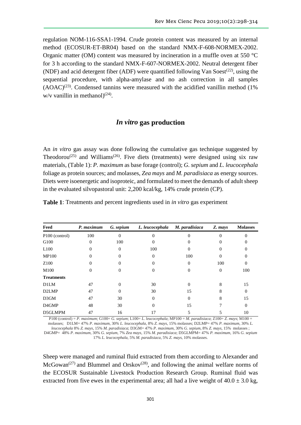regulation NOM-116-SSA1-1994. Crude protein content was measured by an internal method (ECOSUR-ET-BR04) based on the standard NMX-F-608-NORMEX-2002. Organic matter (OM) content was measured by incineration in a muffle oven at 550 °C for 3 h according to the standard NMX-F-607-NORMEX-2002. Neutral detergent fiber (NDF) and acid detergent fiber (ADF) were quantified following Van Soest<sup> $(22)$ </sup>, using the sequential procedure, with alpha-amylase and no ash correction in all samples  $(AOAC)^{(23)}$ . Condensed tannins were measured with the acidified vanillin method (1%)  $w/v$  vanillin in methanol)<sup>(24)</sup>.

## *In vitro* **gas production**

An *in vitro* gas assay was done following the cumulative gas technique suggested by Theodorou<sup>(25)</sup> and Williams<sup>(26)</sup>. Five diets (treatments) were designed using six raw materials, (Table 1): *P. maximum* as base forage (control); *G. sepium* and *L. leucocephala* foliage as protein sources; and molasses, *Zea mays* and *M. paradisiaca* as energy sources. Diets were isoenergetic and isoproteic, and formulated to meet the demands of adult sheep in the evaluated silvopastoral unit: 2,200 kcal/kg, 14% crude protein (CP).

|  | <b>Table 1:</b> Treatments and percent ingredients used in <i>in vitro</i> gas experiment |  |  |  |  |
|--|-------------------------------------------------------------------------------------------|--|--|--|--|
|  |                                                                                           |  |  |  |  |

| Feed                       | P. maximum | G. sepium | L. leucocephala | M. paradisiaca | Z. mays  | <b>Molasses</b> |
|----------------------------|------------|-----------|-----------------|----------------|----------|-----------------|
| P <sub>100</sub> (control) | 100        | $\Omega$  | 0               |                |          |                 |
| G100                       | $\Omega$   | 100       | 0               |                |          |                 |
| L <sub>100</sub>           | 0          | $\Omega$  | 100             |                | $\theta$ |                 |
| <b>MP100</b>               | 0          |           | $\overline{0}$  | 100            | 0        | 0               |
| Z <sub>100</sub>           | 0          |           |                 | 0              | 100      | 0               |
| M100                       | $\Omega$   | 0         | $\theta$        | 0              | $\Omega$ | 100             |
| <b>Treatments</b>          |            |           |                 |                |          |                 |
| <b>D1LM</b>                | 47         | $\Omega$  | 30              | $\Omega$       | 8        | 15              |
| D <sub>2</sub> LMP         | 47         | $\Omega$  | 30              | 15             | 8        | 0               |
| D3GM                       | 47         | 30        | $\overline{0}$  | 0              | 8        | 15              |
| D4GMP                      | 48         | 30        | $\theta$        | 15             |          | $\Omega$        |
| D5GLMPM                    | 47         | 16        | 17              |                |          | 10              |

P100 (control) = *P. maximum*; G100= *G. sepium*; L100= *L. leucocephala*; MP100 = *M. paradisiaca*; Z100= *Z. mays*; M100 = molasses; D1LM= 47% *P. maximum*, 30*% L. leucocephala*, 8% *Z. mays*, 15% molasses; D2LMP= 47% *P. maximum*, 30% *L. leucocephala* 8% *Z. mays*, 15% *M. paradisiaca*; D3GM= 47% *P. maximum*, 30% *G. sepium*, 8% *Z. mays*, 15% molasses ; D4GMP= 48% *P. maximum*, 30% *G. sepium*, 7% *Zea mays*, 15% *M. paradisiaca*; D5GLMPM= 47% *P. maximum*, 16% *G. sepium*

17% *L. leucocephala*, 5% *M. paradisiaca*, 5% *Z. mays*, 10% molasses.

Sheep were managed and ruminal fluid extracted from them according to Alexander and  $McGowan<sup>(27)</sup>$  and Blummel and Orskov<sup>(28)</sup>, and following the animal welfare norms of the ECOSUR Sustainable Livestock Production Research Group. Ruminal fluid was extracted from five ewes in the experimental area; all had a live weight of  $40.0 \pm 3.0$  kg,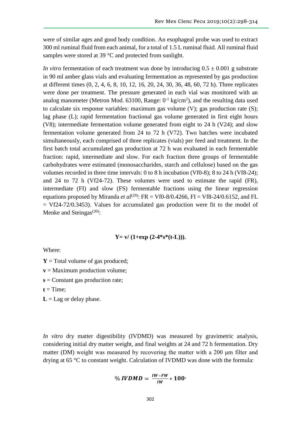were of similar ages and good body condition. An esophageal probe was used to extract 300 ml ruminal fluid from each animal, for a total of 1.5 L ruminal fluid. All ruminal fluid samples were stored at 39 °C and protected from sunlight.

*In vitro* fermentation of each treatment was done by introducing  $0.5 \pm 0.001$  g substrate in 90 ml amber glass vials and evaluating fermentation as represented by gas production at different times (0, 2, 4, 6, 8, 10, 12, 16, 20, 24, 30, 36, 48, 60, 72 h). Three replicates were done per treatment. The pressure generated in each vial was monitored with an analog manometer (Metron Mod. 63100, Range:  $0^{-1}$  kg/cm<sup>2</sup>), and the resulting data used to calculate six response variables: maximum gas volume (V); gas production rate (S); lag phase (L); rapid fermentation fractional gas volume generated in first eight hours (V8); intermediate fermentation volume generated from eight to 24 h (V24); and slow fermentation volume generated from 24 to 72 h (V72). Two batches were incubated simultaneously, each comprised of three replicates (vials) per feed and treatment. In the first batch total accumulated gas production at 72 h was evaluated in each fermentable fraction: rapid, intermediate and slow. For each fraction three groups of fermentable carbohydrates were estimated (monosaccharides, starch and cellulose) based on the gas volumes recorded in three time intervals: 0 to 8 h incubation (Vf0-8); 8 to 24 h (Vf8-24); and 24 to 72 h (Vf24-72). These volumes were used to estimate the rapid (FR), intermediate (FI) and slow (FS) fermentable fractions using the linear regression equations proposed by Miranda *et al*<sup>(29)</sup>: FR = Vf0-8/0.4266, FI = Vf8-24/0.6152, and FL  $= Vf24-72/0.3453$ . Values for accumulated gas production were fit to the model of Menke and Steingas $(30)$ :

#### $Y = v/(1 + exp(2-4*s*(t-L))),$

Where:

- $Y = Total volume of gas produced;$
- **v** = Maximum production volume;
- **s** = Constant gas production rate;
- $t = Time$ ;

 $L =$  Lag or delay phase.

*In vitro* dry matter digestibility (IVDMD) was measured by gravimetric analysis, considering initial dry matter weight, and final weights at 24 and 72 h fermentation. Dry matter (DM) weight was measured by recovering the matter with a 200 µm filter and drying at 65 °C to constant weight. Calculation of IVDMD was done with the formula:

$$
\% \text{IVDMD} = \frac{\text{IW-FW}}{\text{IW}} * 100
$$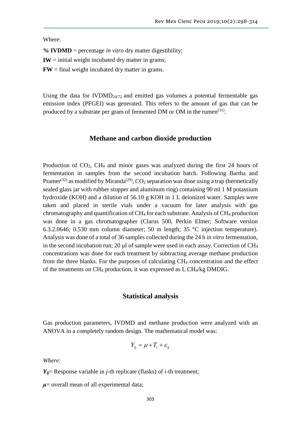Where:

**% IVDMD** = percentage *in vitro* dry matter digestibility;

 $$ 

 $\bf{FW}$  = final weight incubated dry matter in grams.

Using the data for  $IVDMD<sub>24/72</sub>$  and emitted gas volumes a potential fermentable gas emission index (PFGEI) was generated. This refers to the amount of gas that can be produced by a substrate per gram of fermented DM or OM in the rumen<sup>(31)</sup>.

### **Methane and carbon dioxide production**

Production of CO2, CH<sup>4</sup> and minor gases was analyzed during the first 24 hours of fermentation in samples from the second incubation batch. Following Bartha and Pramer<sup>(32)</sup> as modified by Miranda<sup>(29)</sup>, CO<sub>2</sub> separation was done using a trap (hermetically sealed glass jar with rubber stopper and aluminum ring) containing 90 ml 1 M potassium hydroxide (KOH) and a dilution of 56.10 g KOH in 1 L deionized water. Samples were taken and placed in sterile vials under a vacuum for later analysis with gas chromatography and quantification of CH<sup>4</sup> for each substrate. Analysis of CH<sup>4</sup> production was done in a gas chromatographer (Clarus 500, Perkin Elmer; Software version 6.3.2.0646; 0.530 mm column diameter; 50 m length; 35 °C injection temperature). Analysis was done of a total of 36 samples collected during the 24 h *in vitro* fermentation, in the second incubation run; 20  $\mu$ l of sample were used in each assay. Correction of CH<sub>4</sub> concentrations was done for each treatment by subtracting average methane production from the three blanks. For the purposes of calculating CH<sup>4</sup> concentration and the effect of the treatments on CH<sup>4</sup> production, it was expressed as L CH4/kg DMDIG.

### **Statistical analysis**

Gas production parameters, IVDMD and methane production were analyzed with an ANOVA in a completely random design. The mathematical model was:

$$
Y_{ij} = \mu + T_i + \varepsilon_{ij}
$$

*Where:*

 $Y_{ij}$ = Response variable in *j*-th replicate (flasks) of *i*-th treatment;

 $\mu$ = overall mean of all experimental data;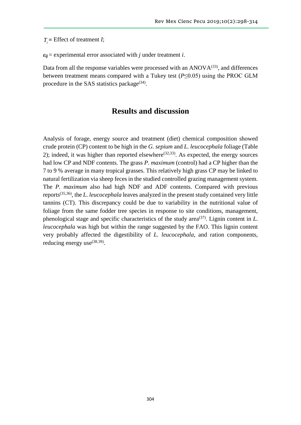$T =$  Effect of treatment *I*;

 $\varepsilon_{ii}$  = experimental error associated with *j* under treatment *i*.

Data from all the response variables were processed with an  $ANOVA^{(33)}$ , and differences between treatment means compared with a Tukey test (*P*≤0.05) using the PROC GLM procedure in the SAS statistics package $(34)$ .

# **Results and discussion**

 $T_i =$  Elflect of treatment *I*;<br>  $\varepsilon_{ij}$  = experimental error associated with *j* unde<br>
Data from all the response variables were probetween treatment means compared with a T<br>
procedure in the SAS statistics package<sup>(34)</sup> Analysis of forage, energy source and treatment (diet) chemical composition showed crude protein (CP) content to be high in the *G. sepium* and *L. leucocephala* foliage (Table 2); indeed, it was higher than reported elsewhere<sup> $(32,33)$ </sup>. As expected, the energy sources had low CP and NDF contents. The grass *P. maximum* (control) had a CP higher than the 7 to 9 % average in many tropical grasses. This relatively high grass CP may be linked to natural fertilization via sheep feces in the studied controlled grazing management system. The *P. maximum* also had high NDF and ADF contents. Compared with previous reports(35,36), the *L. leucocephala* leaves analyzed in the present study contained very little tannins (CT). This discrepancy could be due to variability in the nutritional value of foliage from the same fodder tree species in response to site conditions, management, phenological stage and specific characteristics of the study area(37). Lignin content in *L. leucocephala* was high but within the range suggested by the FAO. This lignin content very probably affected the digestibility of *L. leucocephala*, and ration components, reducing energy use  $(38,39)$ .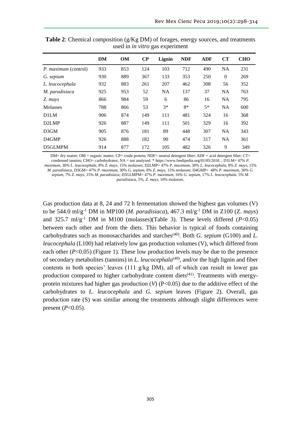|                      | DM  | <b>OM</b> | $\bf CP$ | Lignin    | <b>NDF</b> | <b>ADF</b> | <b>CT</b> | <b>CHO</b> |
|----------------------|-----|-----------|----------|-----------|------------|------------|-----------|------------|
| P. maximum (control) | 933 | 853       | 124      | 103       | 712        | 490        | <b>NA</b> | 231        |
| G. sepium            | 930 | 889       | 367      | 133       | 353        | 250        | $\theta$  | 269        |
| L. leucocephala      | 932 | 883       | 261      | 207       | 462        | 308        | 56        | 352        |
| M. paradisiaca       | 925 | 953       | 52       | <b>NA</b> | 137        | 37         | <b>NA</b> | 763        |
| Z. mays              | 866 | 984       | 59       | 6         | 86         | 16         | <b>NA</b> | 795        |
| <b>Molasses</b>      | 788 | 866       | 53       | $3*$      | $8*$       | $5*$       | <b>NA</b> | 600        |
| D1LM                 | 906 | 874       | 149      | 111       | 481        | 324        | 16        | 368        |
| D <sub>2</sub> LMP   | 926 | 887       | 149      | 111       | 501        | 329        | 16        | 392        |
| D3GM                 | 905 | 876       | 181      | 89        | 448        | 307        | <b>NA</b> | 343        |
| D <sub>4</sub> GMP   | 926 | 888       | 182      | 90        | 474        | 317        | <b>NA</b> | 361        |
| D5GLMPM              | 914 | 877       | 172      | 105       | 482        | 326        | 9         | 349        |

**Table 2**: Chemical composition (g/Kg DM) of forages, energy sources, and treatments used in *in vitro* gas experiment

DM= dry matter; OM = organic matter; CP= crude protein; NDF= neutral detergent fiber; ADF = acid detergent fiber; CT= condensed tannins; CHO= carbohydrates; NA = not analyzed. [\\* https://www.feedipedia.org/01/05/2018.](https://www.feedipedia.org/01/05/2018) ; D1LM= 47% *P. maximum*, 30*% L. leucocephala*, 8% *Z. mays*, 15% molasses; D2LMP= 47% *P. maximum*, 30% *L. leucocephala*, 8% *Z. mays*, 15% *M. paradisiaca*, D3GM= 47% *P. maximum*, 30% *G. sepium*, 8% *Z. mays*, 15% molasses; D4GMP= 48% *P. maximum*, 30% *G. sepium*, 7% *Z. mays*, 15% *M. paradisiaca*; D5GLMPM= 47% *P. maximum*, 16% *G. sepium*, 17% *L. leucocephala*. 5% *M.* 

*paradisiaca*, 5%, *Z. mays*, 10% molasses.

Gas production data at 8, 24 and 72 h fermentation showed the highest gas volumes (V) to be 544.0 ml/g-1 DM in MP100 (*M. paradisiaca*), 467.3 ml/g-1 DM in Z100 (Z. *mays*) and  $325.7 \text{ m}$ / $g^{-1}$  DM in M100 (molasses)(Table 3). These levels differed ( $P < 0.05$ ) between each other and from the diets. This behavior is typical of foods containing carbohydrates such as monosaccharides and starches<sup>(40)</sup>. Both *G. sepium* (G100) and *L. leucocephala* (L100) had relatively low gas production volumes (V), which differed from each other  $(P<0.05)$  (Figure 1). These low production levels may be due to the presence of secondary metabolites (tannins) in *L. leucocephala*(40), and/or the high lignin and fiber contents in both species' leaves (111 g/kg DM), all of which can result in lower gas production compared to higher carbohydrate content diets<sup> $(41)$ </sup>. Treatments with energyprotein mixtures had higher gas production (*V*) (P<0.05) due to the additive effect of the carbohydrates to *L. leucocephala* and *G. sepium* leaves (Figure 2). Overall, gas production rate (S) was similar among the treatments although slight differences were present  $(P<0.05)$ .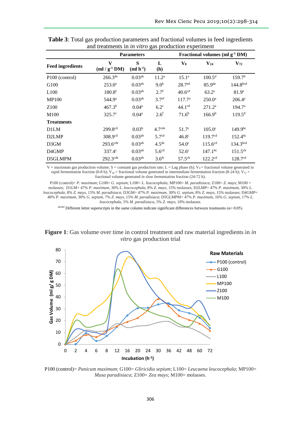|                            |                        | <b>Parameters</b>  |                    |                    | Fractional volumes (ml $g-1 DM$ ) |                      |  |  |
|----------------------------|------------------------|--------------------|--------------------|--------------------|-----------------------------------|----------------------|--|--|
| <b>Feed ingredients</b>    | V<br>$(ml / g-1 DM)$   | S<br>$(ml h-1)$    | L<br>(h)           | V <sub>8</sub>     | $V_{24}$                          | $V_{72}$             |  |  |
| P <sub>100</sub> (control) | $266.3^{de}$           | $0.03^{ab}$        | $11.2^a$           | $15.1^e$           | $100.5^d$                         | 159.7 <sup>b</sup>   |  |  |
| G <sub>100</sub>           | $253.0^{\circ}$        | $0.03^{ab}$        | 9.0 <sup>b</sup>   | 28.7 <sup>ed</sup> | 85.9 <sup>de</sup>                | 144.8 <sup>bcd</sup> |  |  |
| L100                       | 180.8 <sup>f</sup>     | 0.03 <sup>ab</sup> | $2.7^{\rm f}$      | 40.6 <sup>cd</sup> | $63.2^e$                          | 81.9 <sup>e</sup>    |  |  |
| <b>MP100</b>               | 544.9 <sup>a</sup>     | 0.03 <sup>ab</sup> | 3.7 <sup>ef</sup>  | 117.7 <sup>a</sup> | $250.0^{\rm a}$                   | $206.4^a$            |  |  |
| Z <sub>100</sub>           | $467.3^{b}$            | 0.04 <sup>a</sup>  | $6.2^{\circ}$      | 44.1 <sup>cd</sup> | 271.2 <sup>a</sup>                | 194.7 <sup>a</sup>   |  |  |
| M100                       | $325.7^{\circ}$        | 0.04 <sup>a</sup>  | 2.6 <sup>f</sup>   | 71.6 <sup>b</sup>  | 166.9 <sup>b</sup>                | $119.5^{\rm d}$      |  |  |
| <b>Treatments</b>          |                        |                    |                    |                    |                                   |                      |  |  |
| D1LM                       | $299.8^{cd}$           | 0.03 <sup>b</sup>  | 4.7 <sup>cde</sup> | 51.7 <sup>c</sup>  | $105.0^{\circ}$                   | $149.9^{bc}$         |  |  |
| D <sub>2</sub> LMP         | 308.9 <sup>cd</sup>    | $0.03^{ab}$        | 5.7 <sup>cd</sup>  | 46.8 <sup>c</sup>  | 119.7 <sup>cd</sup>               | $152.4^{bc}$         |  |  |
| D3GM                       | $293.6$ <sup>cde</sup> | 0.03 <sup>ab</sup> | 4.5 <sup>de</sup>  | $54.0^\circ$       | $115.6^{cd}$                      | 134.3 <sup>bcd</sup> |  |  |
| D <sub>4</sub> GMP         | $337.4^{\circ}$        | 0.03 <sup>ab</sup> | 5.6 <sup>cd</sup>  | $52.6^\circ$       | $147.1^{bc}$                      | $151.5^{cb}$         |  |  |
| D5GLMPM                    | $292.3$ <sup>cde</sup> | 0.03 <sup>ab</sup> | 3.6 <sup>fe</sup>  | $57.5^{cb}$        | 122.2 <sup>cd</sup>               | 128.7 <sup>cd</sup>  |  |  |

**Table 3**: Total gas production parameters and fractional volumes in feed ingredients and treatments in *in vitro* gas production experiment

 $V =$  maximum gas production volume;  $S =$  constant gas production rate;  $L =$  Lag phase (h);  $V_8 =$  fractional volume generated in rapid fermentation fraction (0-8 h); V<sub>24</sub> = fractional volume generated in intermediate fermentation fraction (8-24 h); V<sub>72</sub> = fractional volume generated in slow fermentation fraction (24-72 h).

P100 (control)= *P. maximum*; G100= *G. sepium*; L100= *L. leucocephala*; MP100= *M. paradisiaca*; Z100= *Z. mays*; M100 = molasses; D1LM= 47% *P. maximum*, 30% *L. leucocephala*, 8% *Z. mays*, 15% molasses; D2LMP= 47% *P. maximum*, 30% *L. leucocephala*, 8% *Z. mays*, 15% *M. paradisiaca*; D3GM= 47% *P. maximum*, 30% *G. sepium*, 8% *Z. mays*, 15% molasses; D4GMP= 48% *P. maximum*, 30% *G. sepium*, 7% *Z. mays*, 15% *M. paradisiaca*; D5GLMPM= 47% *P. maximum*, 16% *G. sepium*, 17% *L. leucocephala*, 5% *M. paradisiaca*, 5% *Z. mays*, 10% molasses.

abcdef Different letter superscripts in the same column indicate significant differences between treatments ( $\alpha$ = 0.05).

**Figure 1**: Gas volume over time in control treatment and raw material ingredients in *in vitro* gas production trial



P100 (control)= *Panicum maximum*; G100= *Gliricidia sepium*; L100= *Leucaena leucocephala*; MP100= *Musa paradisiaca*; Z100= *Zea mays*; M100= molasses.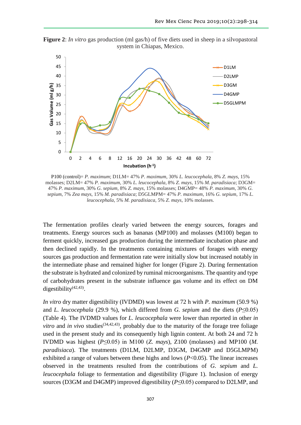**Figure 2**: *In vitro* gas production (ml gas/h) of five diets used in sheep in a silvopastoral system in Chiapas, Mexico.



P100 (control)= *P. maximum*; D1LM= 47% *P. maximum*, 30*% L. leucocephala*, 8% *Z. mays*, 15% molasses; D2LM= 47% *P. maximum*, 30% *L. leucocephala*, 8% *Z. mays*, 15% *M. paradisiaca*; D3GM= 47% *P. maximum*, 30% *G. sepium*, 8% *Z. mays*, 15% molasses; D4GMP= 48% *P. maximum*, 30% *G. sepium*, 7% *Zea mays*, 15% *M. paradisiaca*; D5GLMPM= 47% *P. maximum*, 16% *G. sepium*, 17% *L. leucocephala*, 5% *M. paradisiaca*, 5% *Z. mays*, 10% molasses.

The fermentation profiles clearly varied between the energy sources, forages and treatments. Energy sources such as bananas (MP100) and molasses (M100) began to ferment quickly, increased gas production during the intermediate incubation phase and then declined rapidly. In the treatments containing mixtures of forages with energy sources gas production and fermentation rate were initially slow but increased notably in the intermediate phase and remained higher for longer (Figure 2). During fermentation the substrate is hydrated and colonized by ruminal microorganisms. The quantity and type of carbohydrates present in the substrate influence gas volume and its effect on DM digestibility<sup>(42,43)</sup>.

*In vitro* dry matter digestibility (IVDMD) was lowest at 72 h with *P. maximum* (50.9 %) and *L. leucocephala* (29.9 %), which differed from *G. sepium* and the diets ( $P \le 0.05$ ) (Table 4). The IVDMD values for *L. leucocephala* were lower than reported in other *in vitro* and *in vivo* studies<sup>(34,42,43)</sup>, probably due to the maturity of the forage tree foliage used in the present study and its consequently high lignin content. At both 24 and 72 h IVDMD was highest (*P*≤0.05) in M100 (*Z. mays*), Z100 (molasses) and MP100 (*M. paradisiaca*). The treatments (D1LM, D2LMP, D3GM, D4GMP and D5GLMPM) exhibited a range of values between these highs and lows (*P*<0.05). The linear increases observed in the treatments resulted from the contributions of *G. sepium* and *L. leucocephala* foliage to fermentation and digestibility (Figure 1). Inclusion of energy sources (D3GM and D4GMP) improved digestibility (*P*≤0.05) compared to D2LMP, and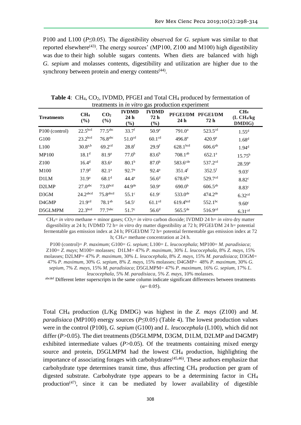P100 and L100 (*P*≤0.05). The digestibility observed for *G. sepium* was similar to that reported elsewhere<sup> $(43)$ </sup>. The energy sources' (MP100, Z100 and M100) high digestibility was due to their high soluble sugars contents. When diets are balanced with high *G. sepium* and molasses contents, digestibility and utilization are higher due to the synchrony between protein and energy contents<sup>(44)</sup>.

| treatments in <i>the vire</i> gas production experiment |                           |                           |                            |                             |                      |                           |                                                              |  |
|---------------------------------------------------------|---------------------------|---------------------------|----------------------------|-----------------------------|----------------------|---------------------------|--------------------------------------------------------------|--|
| <b>Treatments</b>                                       | CH <sub>4</sub><br>$(\%)$ | CO <sub>2</sub><br>$(\%)$ | <b>IVDMD</b><br>24h<br>(%) | <b>IVDMD</b><br>72 h<br>(%) | 24 <sub>h</sub>      | PFGEI/DM PFGEI/DM<br>72 h | CH <sub>4</sub><br>(L CH <sub>4</sub> /kg)<br><b>DMDIG</b> ) |  |
| P <sub>100</sub> (control)                              | 22.5 <sup>bcd</sup>       | 77.5 <sup>abc</sup>       | 33.7 <sup>f</sup>          | 50.9 <sup>e</sup>           | 791.0 <sup>a</sup>   | 523.5 <sup>cd</sup>       | $1.55^d$                                                     |  |
| G100                                                    | 23.2 <sup>bcd</sup>       | 76.8 <sup>abc</sup>       | 51.0 <sup>cd</sup>         | $60.1$ <sup>cd</sup>        | $496.8^{\circ}$      | $420.9^{\circ}$           | 1.68 <sup>d</sup>                                            |  |
| L100                                                    | $30.8^{a,b}$              | 69.2 <sup>cd</sup>        | $28.8^{\rm f}$             | 29.9 <sup>f</sup>           | 628.1 <sup>bcd</sup> | $606.6^{ab}$              | 1.94 <sup>d</sup>                                            |  |
| <b>MP100</b>                                            | 18.1 <sup>d</sup>         | 81.9 <sup>a</sup>         | 77.0 <sup>b</sup>          | $83.6^{b}$                  | $708.1^{ab}$         | 652.1 <sup>a</sup>        | $15.75^{b}$                                                  |  |
| Z <sub>100</sub>                                        | 16.4 <sup>d</sup>         | 83.6 <sup>a</sup>         | 80.1 <sup>b</sup>          | 87.0 <sup>b</sup>           | 583.6 <sup>cde</sup> | 537.2 <sup>cd</sup>       | $28.59^{a}$                                                  |  |
| M100                                                    | 17.9 <sup>d</sup>         | 82.1 <sup>a</sup>         | 92.7 <sup>a</sup>          | $92.4^{\rm a}$              | $351.4$ <sup>f</sup> | $352.5$ <sup>f</sup>      | 9.03 <sup>c</sup>                                            |  |
| D1LM                                                    | 31.9 <sup>a</sup>         | 68.1 <sup>d</sup>         | $44.4^\mathrm{e}$          | 56.6 <sup>d</sup>           | $678.6^{bc}$         | 529.7cd                   | 8.82 <sup>c</sup>                                            |  |
| D <sub>2</sub> LMP                                      | 27.0 <sup>abc</sup>       | 73.0 <sup>bcd</sup>       | 44.9 <sup>de</sup>         | 50.9 <sup>e</sup>           | 690.0 <sup>b</sup>   | $606.5^{ab}$              | 8.83c                                                        |  |
| D3GM                                                    | $24.2$ <sup>abcd</sup>    | $75.8$ abcd               | $55.1^\circ$               | 61.9 <sup>c</sup>           | 533.0 <sup>de</sup>  | $474.2^{\text{de}}$       | 6.32 <sup>cd</sup>                                           |  |
| D <sub>4</sub> GMP                                      | 21.9 <sup>cd</sup>        | $78.1^{ab}$               | $54.5^\circ$               | 61.1 <sup>cd</sup>          | 619.4bcd             | 552.1bc                   | 9.60 <sup>c</sup>                                            |  |
| D5GLMPM                                                 | 22.3 <sup>bcd</sup>       | 77.7 <sup>abc</sup>       | 51.7 <sup>c</sup>          | 56.6 <sup>d</sup>           | $565.5^{de}$         | 516.9cd                   | 6.31 <sup>cd</sup>                                           |  |

**Table 4:** CH<sub>4</sub>, CO<sub>2</sub>, IVDMD, PFGEI and Total CH<sub>4</sub> produced by fermentation of treatments in *in vitro* gas production experiment

 $CH_4=$  *in vitro* methane + minor gases;  $CO_2=$  *in vitro* carbon dioxide; IVDMD 24 h= *in vitro* dry matter digestibility at 24 h; IVDMD 72 h= *in vitro* dry matter digestibility at 72 h; PFGEI/DM 24 h= potential fermentable gas emission index at 24 h; PFGEI/DM 72 h= potential fermentable gas emission index at 72 h; CH<sub>4</sub>= methane concentration at 24 h.

P100 (control)= *P. maximum*; G100= *G. sepium*; L100= *L. leucocephala*; MP100= *M. paradisiaca*; Z100= *Z. mays*; M100= molasses; D1LM= 47% *P. maximum*, 30*% L. leucocephala*, 8% *Z. mays*, 15% molasses; D2LMP= 47% *P. maximum*, 30% *L. leucocephala*, 8% *Z. mays*, 15% *M. paradisiaca*; D3GM= 47% *P. maximum*, 30% *G. sepium*, 8% *Z. mays*, 15% molasses; D4GMP= 48% *P. maximum*, 30% *G. sepium*, 7% *Z. mays*, 15% *M. paradisiaca*; D5GLMPM= 47% *P. maximum*, 16% *G. sepium*, 17% *L.* 

*leucocephala*, 5% *M. paradisiaca*, 5% *Z. mays*, 10% molasses. abcdef Different letter superscripts in the same column indicate significant differences between treatments

 $(\alpha = 0.05)$ .

Total CH<sup>4</sup> production (L/Kg DMDG) was highest in the *Z. mays* (Z100) and *M. paradisiaca* (MP100) energy sources (*P*≤0.05) (Table 4). The lowest production values were in the control (P100), *G. sepium* (G100) and *L. leucocephala* (L100), which did not differ (*P*>0.05). The diet treatments (D5GLMPM, D3GM, D1LM, D2LMP and D4GMP) exhibited intermediate values  $(P>0.05)$ . Of the treatments containing mixed energy source and protein, D5GLMPM had the lowest CH<sub>4</sub> production, highlighting the importance of associating forages with carbohydrates<sup> $(45,46)$ </sup>. These authors emphasize that carbohydrate type determines transit time, thus affecting CH<sup>4</sup> production per gram of digested substrate. Carbohydrate type appears to be a determining factor in CH<sup>4</sup> production<sup>(47)</sup>, since it can be mediated by lower availability of digestible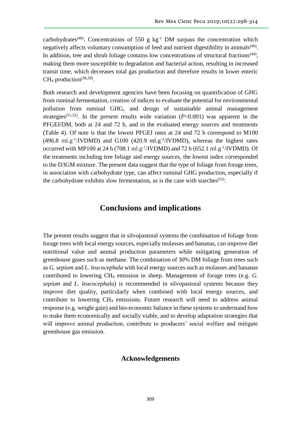carbohydrates<sup>(48)</sup>. Concentrations of 550 g  $kg^{-1}$  DM surpass the concentration which negatively affects voluntary consumption of feed and nutrient digestibility in animals<sup>(49)</sup>. In addition, tree and shrub foliage contains low concentrations of structural fractions<sup>(44)</sup>, making them more susceptible to degradation and bacterial action, resulting in increased transit time, which decreases total gas production and therefore results in lower enteric CH<sub>4</sub> production<sup>(36,50)</sup>.

Both research and development agencies have been focusing on quantification of GHG from ruminal fermentation, creation of indices to evaluate the potential for environmental pollution from ruminal GHG, and design of sustainable animal management strategies<sup>(51,52)</sup>. In the present results wide variation  $(P<0.001)$  was apparent in the PFGEI/DM, both at 24 and 72 h, and in the evaluated energy sources and treatments (Table 4). Of note is that the lowest PFGEI rates at 24 and 72 h correspond to M100  $(496.8 \text{ ml} \cdot \text{g}^{-1}/\text{IVDMD})$  and G100  $(420.9 \text{ ml} \cdot \text{g}^{-1}/\text{IVDMD})$ , whereas the highest rates occurred with MP100 at 24 h (708.1 ml.g<sup>-1</sup>/IVDMD) and 72 h (652.1 ml.g<sup>-1</sup>/IVDMD). Of the treatments including tree foliage and energy sources, the lowest index corresponded to the D3GM mixture. The present data suggest that the type of foliage from forage trees, in association with carbohydrate type, can affect ruminal GHG production, especially if the carbohydrate exhibits slow fermentation, as is the case with starches<sup> $(53)$ </sup>.

# **Conclusions and implications**

The present results suggest that in silvopastoral systems the combination of foliage from forage trees with local energy sources, especially molasses and bananas, can improve diet nutritional value and animal production parameters while mitigating generation of greenhouse gases such as methane. The combination of 30% DM foliage from trees such as *G. sepium* and *L. leucocephala* with local energy sources such as molasses and bananas contributed to lowering CH<sup>4</sup> emission in sheep. Management of forage trees (e.g. *G. sepium* and *L. leucocephala*) is recommended in silvopastoral systems because they improve diet quality, particularly when combined with local energy sources, and contribute to lowering CH<sup>4</sup> emissions. Future research will need to address animal response (e.g. weight gain) and bio-economic balance in these systems to understand how to make them economically and socially viable, and to develop adaptation strategies that will improve animal production, contribute to producers' social welfare and mitigate greenhouse gas emission.

# **Acknowledgements**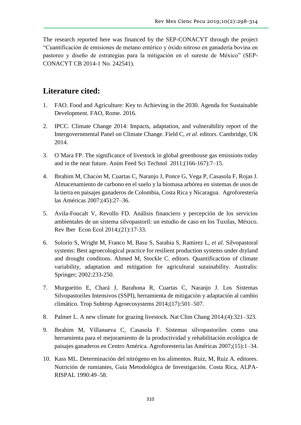The research reported here was financed by the SEP-CONACYT through the project "Cuantificación de emisiones de metano entérico y óxido nitroso en ganadería bovina en pastoreo y diseño de estrategias para la mitigación en el sureste de México" (SEP-CONACYT CB 2014-1 No. 242541).

# **Literature cited:**

- 1. FAO. Food and Agriculture: Key to Achieving in the 2030. Agenda for Sustainable Development. FAO, Rome. 2016.
- 2. IPCC. Climate Change 2014: Impacts, adaptation, and vulnerability report of the Intergovernmental Panel on Climate Change. Field C, *et al*. editors. Cambridge, UK 2014.
- 3. O´Mara FP. The significance of livestock in global greenhouse gas emissions today and in the near future. Anim Feed Sci Technol 2011;(166-167):7–15.
- 4. Ibrahim M, Chacón M, Cuartas C, Naranjo J, Ponce G, Vega P, Casasola F, Rojas J. Almacenamiento de carbono en el suelo y la biomasa arbórea en sistemas de usos de la tierra en paisajes ganaderos de Colombia, Costa Rica y Nicaragua. Agroforestería las Américas 2007;(45):27–36.
- 5. Avila-Foucalt V, Revollo FD. Análisis financiero y percepción de los servicios ambientales de un sistema silvopastoril: un estudio de caso en los Tuxtlas, México. Rev Iber Econ Ecol 2014;(21):17-33.
- 6. Solorio S, Wright M, Franco M, Basu S, Sarabia S, Ramirez L, *et al*. Silvopastoral systems: Best agroecological practice for resilient production systems under dryland and drought conditons. Ahmed M, Stockle C. editors. Quantificaction of climate variability, adaptation and mitigation for agricultural sutainability. Australis: Springer; 2002:233-250.
- 7. Murgueitio E, Chará J, Barahona R, Cuartas C, Naranjo J. Los Sistemas Silvopastoriles Intensivos (SSPI), herramienta de mitigación y adaptación al cambio climático. Trop Subtrop Agroecosystems 2014;(17):501–507.
- 8. Palmer L. A new climate for grazing livestock. Nat Clim Chang 2014;(4):321–323.
- 9. Ibrahim M, Villanueva C, Casasola F. Sistemas silvopastoriles como una herramienta para el mejoramiento de la productividad y rehabilitación ecológica de paisajes ganaderos en Centro América. Agroforesteria las Américas 2007;(15):1–34.
- 10. Kass ML. Determinación del nitrógeno en los alimentos. Ruiz, M, Ruiz A. editores. Nutrición de rumiantes, Guía Metodológica de Investigación. Costa Rica, ALPA-RISPAL 1990:49–58.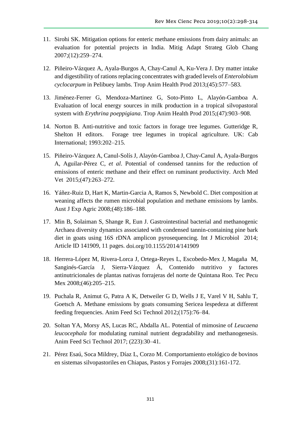- 11. Sirohi SK. Mitigation options for enteric methane emissions from dairy animals: an evaluation for potential projects in India. Mitig Adapt Strateg Glob Chang 2007;(12):259–274.
- 12. Piñeiro-Vázquez A, Ayala-Burgos A, Chay-Canul A, Ku-Vera J. Dry matter intake and digestibility of rations replacing concentrates with graded levels of *Enterolobium cyclocarpum* in Pelibuey lambs. Trop Anim Health Prod 2013;(45):577–583.
- 13. Jiménez-Ferrer G, Mendoza-Martinez G, Soto-Pinto L, Alayón-Gamboa A. Evaluation of local energy sources in milk production in a tropical silvopastoral system with *Erythrina poeppigiana*. Trop Anim Health Prod 2015;(47):903–908.
- 14. Norton B. Anti-nutritive and toxic factors in forage tree legumes. Gutteridge R, Shelton H editors. Forage tree legumes in tropical agriculture. UK: Cab International; 1993:202–215.
- 15. Piñeiro-Vázquez A, Canul-Solís J, Alayón-Gamboa J, Chay-Canul A, Ayala-Burgos A, Aguilar-Pérez C, *et al*. Potential of condensed tannins for the reduction of emissions of enteric methane and their effect on ruminant productivity. Arch Med Vet 2015;(47):263–272.
- 16. Yáñez-Ruiz D, Hart K, Martin-Garcia A, Ramos S, Newbold C. Diet composition at weaning affects the rumen microbial population and methane emissions by lambs. Aust J Exp Agric 2008;(48):186–188.
- 17. Min B, Solaiman S, Shange R, Eun J. Gastrointestinal bacterial and methanogenic Archaea diversity dynamics associated with condensed tannin-containing pine bark diet in goats using 16S rDNA amplicon pyrosequencing. Int J Microbiol 2014; Article ID 141909, 11 pages. [doi.org/10.1155/2014/141909](https://doi.org/10.1155/2014/141909)
- 18. Herrera-López M, Rivera-Lorca J, Ortega-Reyes L, Escobedo-Mex J, Magaña M, Sanginés-García J, Sierra-Vázquez Á, Contenido nutritivo y factores antinutricionales de plantas nativas forrajeras del norte de Quintana Roo. Tec Pecu Mex 2008;(46):205–215.
- 19. Puchala R, Animut G, Patra A K, Detweiler G D, Wells J E, Varel V H, Sahlu T, Goetsch A. Methane emissions by goats consuming Sericea lespedeza at different feeding frequencies. Anim Feed Sci Technol 2012;(175):76–84.
- 20. Soltan YA, Morsy AS, Lucas RC, Abdalla AL. Potential of mimosine of *Leucaena leucocephala* for modulating ruminal nutrient degradability and methanogenesis. Anim Feed Sci Technol 2017; (223):30–41.
- 21. Pérez Esaú, Soca Mildrey, Díaz L, Corzo M. Comportamiento etológico de bovinos en sistemas silvopastoriles en Chiapas, Pastos y Forrajes 2008;(31):161-172.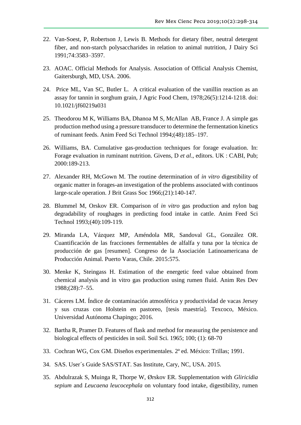- 22. Van-Soest, P, Robertson J, Lewis B. Methods for dietary fiber, neutral detergent fiber, and non-starch polysaccharides in relation to animal nutrition, J Dairy Sci 1991;74:3583–3597.
- 23. AOAC. Official Methods for Analysis. Association of Official Analysis Chemist, Gaitersburgh, MD, USA. 2006.
- 24. Price ML, Van SC, Butler L. A critical evaluation of the vanillin reaction as an assay for tannin in sorghum grain, J Agric Food Chem, 1978;26(5):1214-1218. doi: 10.1021/jf60219a031
- 25. Theodorou M K, Williams BA, Dhanoa M S, McAllan AB, France J. A simple gas production method using a pressure transducer to determine the fermentation kinetics of ruminant feeds. Anim Feed Sci Technol 1994;(48):185–197.
- 26. Williams, BA. Cumulative gas-production techniques for forage evaluation. In: Forage evaluation in ruminant nutrition. Givens, D *et al*., editors. UK : CABI, Pub; 2000:189-213.
- 27. Alexander RH, McGown M. The routine determination of *in vitro* digestibility of organic matter in forages-an investigation of the problems associated with continuos large-scale operation. J Brit Grass Soc 1966;(21):140-147.
- 28. Blummel M, Orskov ER. Comparison of *in vitro* gas production and nylon bag degradability of roughages in predicting food intake in cattle. Anim Feed Sci Technol 1993;(40):109-119.
- 29. Miranda LA, Vázquez MP, Améndola MR, Sandoval GL, González OR. Cuantificación de las fracciones fermentables de alfalfa y tuna por la técnica de producción de gas [resumen]. Congreso de la Asociación Latinoamericana de Producción Animal. Puerto Varas, Chile. 2015:575.
- 30. Menke K, Steingass H. Estimation of the energetic feed value obtained from chemical analysis and in vitro gas production using rumen fluid. Anim Res Dev 1988;(28):7–55.
- 31. Cáceres LM. Índice de contaminación atmosférica y productividad de vacas Jersey y sus cruzas con Holstein en pastoreo, [tesis maestría]. Texcoco, México. Universidad Autónoma Chapingo; 2016.
- 32. Bartha R, Pramer D. Features of flask and method for measuring the persistence and biological effects of pesticides in soil. Soil Sci. 1965; 100; (1): 68-70
- 33. Cochran WG, Cox GM. Diseños experimentales. 2ª ed. México: Trillas; 1991.
- 34. SAS. User´s Guide SAS/STAT. Sas Institute, Cary, NC, USA. 2015.
- 35. Abdulrazak S, Muinga R, Thorpe W, Ørskov ER. Supplementation with *Gliricidia sepium* and *Leucaena leucocephala* on voluntary food intake, digestibility, rumen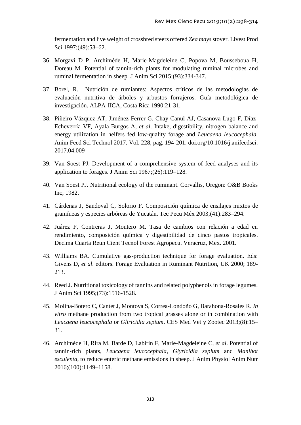fermentation and live weight of crossbred steers offered *Zea mays*stover. Livest Prod Sci 1997;(49):53-62.

- 36. Morgavi D P, Archimède H, Marie-Magdeleine C, Popova M, Bousseboua H, Doreau M. Potential of tannin-rich plants for modulating ruminal microbes and ruminal fermentation in sheep. J Anim Sci 2015;(93):334-347.
- 37. Borel, R. Nutrición de rumiantes: Aspectos críticos de las metodologías de evaluación nutritiva de árboles y arbustos forrajeros. Guía metodológica de investigación. ALPA-IICA, Costa Rica 1990:21-31.
- 38. Piñeiro-Vázquez AT, Jiménez-Ferrer G, Chay-Canul AJ, Casanova-Lugo F, Díaz-Echeverría VF, Ayala-Burgos A, *et al*. Intake, digestibility, nitrogen balance and energy utilization in heifers fed low-quality forage and *Leucaena leucocephala*. Anim Feed Sci Technol 2017. Vol. 228, pag. 194-201. [doi.org/10.1016/j.anifeedsci.](https://doi.org/10.1016/j.anifeedsci.2017.04.009) [2017.04.009](https://doi.org/10.1016/j.anifeedsci.2017.04.009)
- 39. Van Soest PJ. Development of a comprehensive system of feed analyses and its application to forages. J Anim Sci 1967;(26):119–128.
- 40. Van Soest PJ. Nutritional ecology of the ruminant. Corvallis, Oregon: O&B Books Inc; 1982.
- 41. Cárdenas J, Sandoval C, Solorio F. Composición química de ensilajes mixtos de gramíneas y especies arbóreas de Yucatán. Tec Pecu Méx 2003;(41):283–294.
- 42. Juárez F, Contreras J, Montero M. Tasa de cambios con relación a edad en rendimiento, composición química y digestibilidad de cinco pastos tropicales. Decima Cuarta Reun Cient Tecnol Forest Agropecu. Veracruz, Mex. 2001.
- 43. Williams BA. Cumulative gas-production technique for forage evaluation. Eds: Givens D, *et al*. editors. Forage Evaluation in Ruminant Nutrition, UK 2000; 189- 213.
- 44. Reed J. Nutritional toxicology of tannins and related polyphenols in forage legumes. J Anim Sci 1995;(73):1516-1528.
- 45. Molina-Botero C, Cantet J, Montoya S, Correa-Londoño G, Barahona-Rosales R. *In vitro* methane production from two tropical grasses alone or in combination with *Leucaena leucocephala* or *Gliricidia sepium*. CES Med Vet y Zootec 2013;(8):15– 31.
- 46. Archiméde H, Rira M, Barde D, Labirin F, Marie-Magdeleine C, *et al*. Potential of tannin-rich plants, *Leucaena leucocephala*, *Glyricidia sepium* and *Manihot esculenta*, to reduce enteric methane emissions in sheep. J Anim Physiol Anim Nutr 2016;(100):1149–1158.